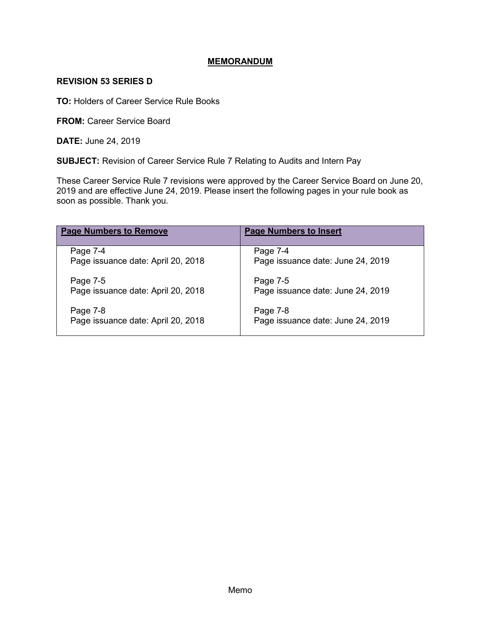# **MEMORANDUM**

### **REVISION 53 SERIES D**

**TO:** Holders of Career Service Rule Books

**FROM: Career Service Board** 

**DATE:** June 24, 2019

**SUBJECT:** Revision of Career Service Rule 7 Relating to Audits and Intern Pay

These Career Service Rule 7 revisions were approved by the Career Service Board on June 20, 2019 and are effective June 24, 2019. Please insert the following pages in your rule book as soon as possible. Thank you.

| <b>Page Numbers to Remove</b>      | <b>Page Numbers to Insert</b>     |
|------------------------------------|-----------------------------------|
| Page 7-4                           | Page 7-4                          |
| Page issuance date: April 20, 2018 | Page issuance date: June 24, 2019 |
| Page 7-5                           | Page 7-5                          |
| Page issuance date: April 20, 2018 | Page issuance date: June 24, 2019 |
| Page 7-8                           | Page 7-8                          |
| Page issuance date: April 20, 2018 | Page issuance date: June 24, 2019 |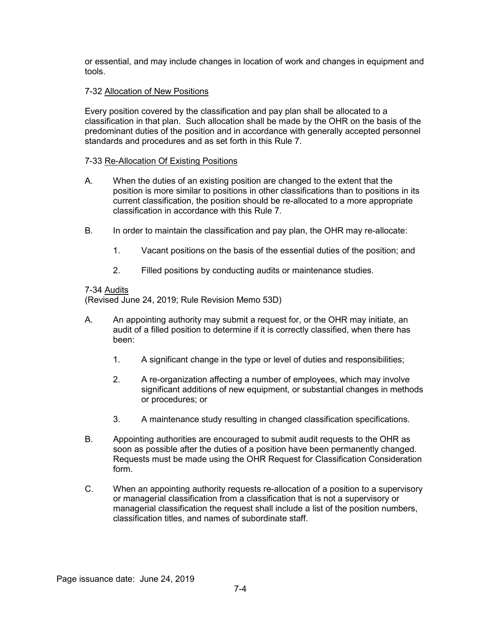or essential, and may include changes in location of work and changes in equipment and tools.

# 7-32 Allocation of New Positions

Every position covered by the classification and pay plan shall be allocated to a classification in that plan. Such allocation shall be made by the OHR on the basis of the predominant duties of the position and in accordance with generally accepted personnel standards and procedures and as set forth in this Rule 7.

# 7-33 Re-Allocation Of Existing Positions

- A. When the duties of an existing position are changed to the extent that the position is more similar to positions in other classifications than to positions in its current classification, the position should be re-allocated to a more appropriate classification in accordance with this Rule 7.
- B. In order to maintain the classification and pay plan, the OHR may re-allocate:
	- 1. Vacant positions on the basis of the essential duties of the position; and
	- 2. Filled positions by conducting audits or maintenance studies.

#### 7-34 Audits

(Revised June 24, 2019; Rule Revision Memo 53D)

- A. An appointing authority may submit a request for, or the OHR may initiate, an audit of a filled position to determine if it is correctly classified, when there has been:
	- 1. A significant change in the type or level of duties and responsibilities;
	- 2. A re-organization affecting a number of employees, which may involve significant additions of new equipment, or substantial changes in methods or procedures; or
	- 3. A maintenance study resulting in changed classification specifications.
- B. Appointing authorities are encouraged to submit audit requests to the OHR as soon as possible after the duties of a position have been permanently changed. Requests must be made using the OHR Request for Classification Consideration form.
- C. When an appointing authority requests re-allocation of a position to a supervisory or managerial classification from a classification that is not a supervisory or managerial classification the request shall include a list of the position numbers, classification titles, and names of subordinate staff.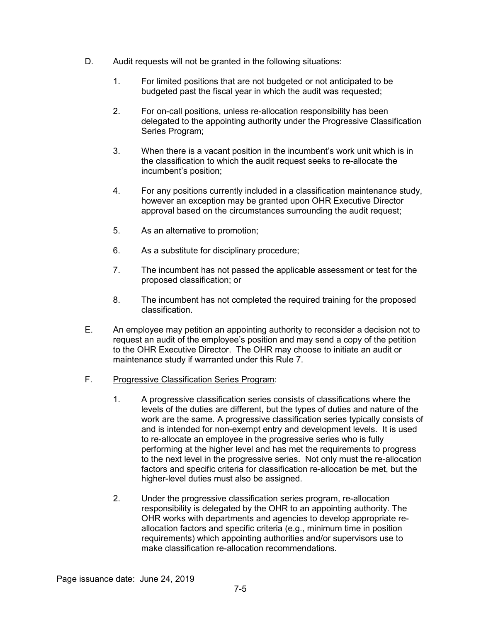- D. Audit requests will not be granted in the following situations:
	- 1. For limited positions that are not budgeted or not anticipated to be budgeted past the fiscal year in which the audit was requested;
	- 2. For on-call positions, unless re-allocation responsibility has been delegated to the appointing authority under the Progressive Classification Series Program;
	- 3. When there is a vacant position in the incumbent's work unit which is in the classification to which the audit request seeks to re-allocate the incumbent's position;
	- 4. For any positions currently included in a classification maintenance study, however an exception may be granted upon OHR Executive Director approval based on the circumstances surrounding the audit request;
	- 5. As an alternative to promotion;
	- 6. As a substitute for disciplinary procedure;
	- 7. The incumbent has not passed the applicable assessment or test for the proposed classification; or
	- 8. The incumbent has not completed the required training for the proposed classification.
- E. An employee may petition an appointing authority to reconsider a decision not to request an audit of the employee's position and may send a copy of the petition to the OHR Executive Director. The OHR may choose to initiate an audit or maintenance study if warranted under this Rule 7.

# F. Progressive Classification Series Program:

- 1. A progressive classification series consists of classifications where the levels of the duties are different, but the types of duties and nature of the work are the same. A progressive classification series typically consists of and is intended for non-exempt entry and development levels. It is used to re-allocate an employee in the progressive series who is fully performing at the higher level and has met the requirements to progress to the next level in the progressive series. Not only must the re-allocation factors and specific criteria for classification re-allocation be met, but the higher-level duties must also be assigned.
- 2. Under the progressive classification series program, re-allocation responsibility is delegated by the OHR to an appointing authority. The OHR works with departments and agencies to develop appropriate reallocation factors and specific criteria (e.g., minimum time in position requirements) which appointing authorities and/or supervisors use to make classification re-allocation recommendations.